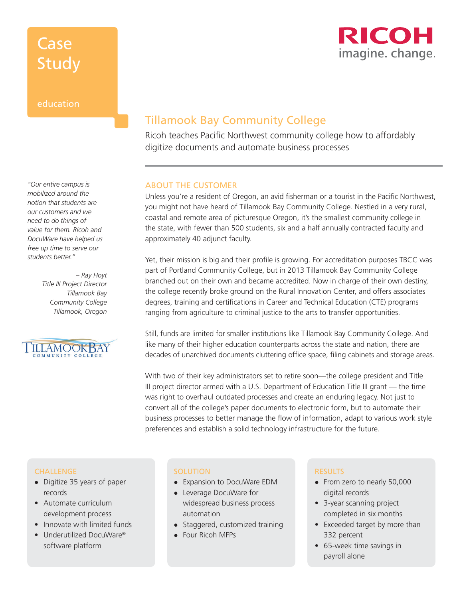## Case Study



#### education

*"Our entire campus is mobilized around the notion that students are our customers and we need to do things of value for them. Ricoh and DocuWare have helped us free up time to serve our students better."*

> *– Ray Hoyt Title III Project Director Tillamook Bay Community College Tillamook, Oregon*



### Tillamook Bay Community College

Ricoh teaches Pacific Northwest community college how to affordably digitize documents and automate business processes

#### ABOUT THE CUSTOMER

Unless you're a resident of Oregon, an avid fisherman or a tourist in the Pacific Northwest, you might not have heard of Tillamook Bay Community College. Nestled in a very rural, coastal and remote area of picturesque Oregon, it's the smallest community college in the state, with fewer than 500 students, six and a half annually contracted faculty and approximately 40 adjunct faculty.

Yet, their mission is big and their profile is growing. For accreditation purposes TBCC was part of Portland Community College, but in 2013 Tillamook Bay Community College branched out on their own and became accredited. Now in charge of their own destiny, the college recently broke ground on the Rural Innovation Center, and offers associates degrees, training and certifications in Career and Technical Education (CTE) programs ranging from agriculture to criminal justice to the arts to transfer opportunities.

Still, funds are limited for smaller institutions like Tillamook Bay Community College. And like many of their higher education counterparts across the state and nation, there are decades of unarchived documents cluttering office space, filing cabinets and storage areas.

With two of their key administrators set to retire soon—the college president and Title III project director armed with a U.S. Department of Education Title III grant — the time was right to overhaul outdated processes and create an enduring legacy. Not just to convert all of the college's paper documents to electronic form, but to automate their business processes to better manage the flow of information, adapt to various work style preferences and establish a solid technology infrastructure for the future.

#### CHALLENGE

- Digitize 35 years of paper records
- Automate curriculum development process
- Innovate with limited funds
- Underutilized DocuWare® software platform

#### **SOLUTION**

- Expansion to DocuWare EDM
- Leverage DocuWare for widespread business process automation
- Staggered, customized training
- Four Ricoh MFPs

#### RESULTS

- From zero to nearly 50,000 digital records
- 3-year scanning project completed in six months
- Exceeded target by more than 332 percent
- 65-week time savings in payroll alone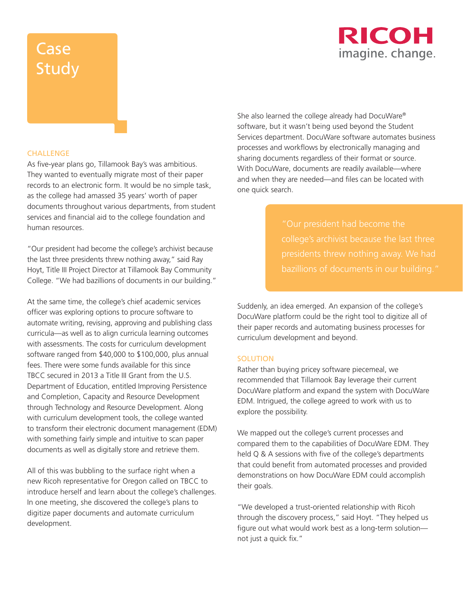## **RICOH** imagine. change.

# **Case Study**

#### **CHALLENGE**

As five-year plans go, Tillamook Bay's was ambitious. They wanted to eventually migrate most of their paper records to an electronic form. It would be no simple task, as the college had amassed 35 years' worth of paper documents throughout various departments, from student services and financial aid to the college foundation and human resources.

"Our president had become the college's archivist because the last three presidents threw nothing away," said Ray Hoyt, Title III Project Director at Tillamook Bay Community College. "We had bazillions of documents in our building."

At the same time, the college's chief academic services officer was exploring options to procure software to automate writing, revising, approving and publishing class curricula—as well as to align curricula learning outcomes with assessments. The costs for curriculum development software ranged from \$40,000 to \$100,000, plus annual fees. There were some funds available for this since TBCC secured in 2013 a Title III Grant from the U.S. Department of Education, entitled Improving Persistence and Completion, Capacity and Resource Development through Technology and Resource Development. Along with curriculum development tools, the college wanted to transform their electronic document management (EDM) with something fairly simple and intuitive to scan paper documents as well as digitally store and retrieve them.

All of this was bubbling to the surface right when a new Ricoh representative for Oregon called on TBCC to introduce herself and learn about the college's challenges. In one meeting, she discovered the college's plans to digitize paper documents and automate curriculum development.

She also learned the college already had DocuWare® software, but it wasn't being used beyond the Student Services department. DocuWare software automates business processes and workflows by electronically managing and sharing documents regardless of their format or source. With DocuWare, documents are readily available—where and when they are needed—and files can be located with one quick search.

college's archivist because the last three

Suddenly, an idea emerged. An expansion of the college's DocuWare platform could be the right tool to digitize all of their paper records and automating business processes for curriculum development and beyond.

#### **SOLUTION**

Rather than buying pricey software piecemeal, we recommended that Tillamook Bay leverage their current DocuWare platform and expand the system with DocuWare EDM. Intrigued, the college agreed to work with us to explore the possibility.

We mapped out the college's current processes and compared them to the capabilities of DocuWare EDM. They held Q & A sessions with five of the college's departments that could benefit from automated processes and provided demonstrations on how DocuWare EDM could accomplish their goals.

"We developed a trust-oriented relationship with Ricoh through the discovery process," said Hoyt. "They helped us figure out what would work best as a long-term solution not just a quick fix."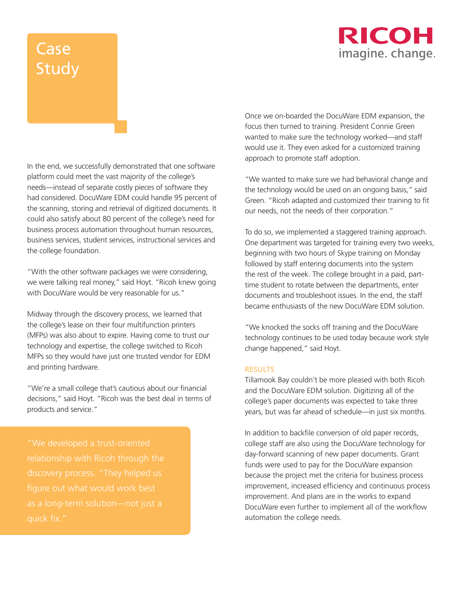### RICOH imagine. change.

# **Case** Study

In the end, we successfully demonstrated that one software platform could meet the vast majority of the college's needs—instead of separate costly pieces of software they had considered. DocuWare EDM could handle 95 percent of the scanning, storing and retrieval of digitized documents. It could also satisfy about 80 percent of the college's need for business process automation throughout human resources, business services, student services, instructional services and the college foundation.

"With the other software packages we were considering, we were talking real money," said Hoyt. "Ricoh knew going with DocuWare would be very reasonable for us."

Midway through the discovery process, we learned that the college's lease on their four multifunction printers (MFPs) was also about to expire. Having come to trust our technology and expertise, the college switched to Ricoh MFPs so they would have just one trusted vendor for EDM and printing hardware.

"We're a small college that's cautious about our financial decisions," said Hoyt. "Ricoh was the best deal in terms of products and service."

"We developed a trust-oriented figure out what would work best as a long-term solution—not just a Once we on-boarded the DocuWare EDM expansion, the focus then turned to training. President Connie Green wanted to make sure the technology worked—and staff would use it. They even asked for a customized training approach to promote staff adoption.

"We wanted to make sure we had behavioral change and the technology would be used on an ongoing basis," said Green. "Ricoh adapted and customized their training to fit our needs, not the needs of their corporation."

To do so, we implemented a staggered training approach. One department was targeted for training every two weeks, beginning with two hours of Skype training on Monday followed by staff entering documents into the system the rest of the week. The college brought in a paid, parttime student to rotate between the departments, enter documents and troubleshoot issues. In the end, the staff became enthusiasts of the new DocuWare EDM solution.

"We knocked the socks off training and the DocuWare technology continues to be used today because work style change happened," said Hoyt.

#### **RESULTS**

Tillamook Bay couldn't be more pleased with both Ricoh and the DocuWare EDM solution. Digitizing all of the college's paper documents was expected to take three years, but was far ahead of schedule—in just six months.

In addition to backfile conversion of old paper records, college staff are also using the DocuWare technology for day-forward scanning of new paper documents. Grant funds were used to pay for the DocuWare expansion because the project met the criteria for business process improvement, increased efficiency and continuous process improvement. And plans are in the works to expand DocuWare even further to implement all of the workflow automation the college needs.